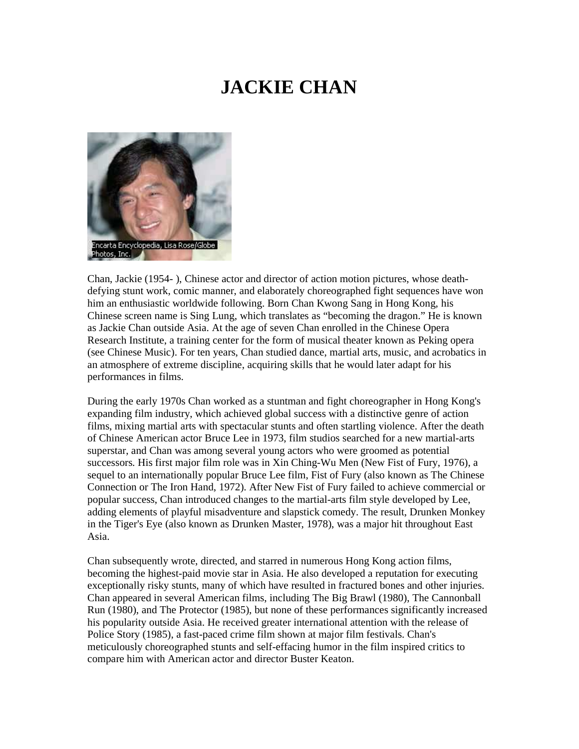## **JACKIE CHAN**



Chan, Jackie (1954- ), Chinese actor and director of action motion pictures, whose deathdefying stunt work, comic manner, and elaborately choreographed fight sequences have won him an enthusiastic worldwide following. Born Chan Kwong Sang in Hong Kong, his Chinese screen name is Sing Lung, which translates as "becoming the dragon." He is known as Jackie Chan outside Asia. At the age of seven Chan enrolled in the Chinese Opera Research Institute, a training center for the form of musical theater known as Peking opera (see Chinese Music). For ten years, Chan studied dance, martial arts, music, and acrobatics in an atmosphere of extreme discipline, acquiring skills that he would later adapt for his performances in films.

During the early 1970s Chan worked as a stuntman and fight choreographer in Hong Kong's expanding film industry, which achieved global success with a distinctive genre of action films, mixing martial arts with spectacular stunts and often startling violence. After the death of Chinese American actor Bruce Lee in 1973, film studios searched for a new martial-arts superstar, and Chan was among several young actors who were groomed as potential successors. His first major film role was in Xin Ching-Wu Men (New Fist of Fury, 1976), a sequel to an internationally popular Bruce Lee film, Fist of Fury (also known as The Chinese Connection or The Iron Hand, 1972). After New Fist of Fury failed to achieve commercial or popular success, Chan introduced changes to the martial-arts film style developed by Lee, adding elements of playful misadventure and slapstick comedy. The result, Drunken Monkey in the Tiger's Eye (also known as Drunken Master, 1978), was a major hit throughout East Asia.

Chan subsequently wrote, directed, and starred in numerous Hong Kong action films, becoming the highest-paid movie star in Asia. He also developed a reputation for executing exceptionally risky stunts, many of which have resulted in fractured bones and other injuries. Chan appeared in several American films, including The Big Brawl (1980), The Cannonball Run (1980), and The Protector (1985), but none of these performances significantly increased his popularity outside Asia. He received greater international attention with the release of Police Story (1985), a fast-paced crime film shown at major film festivals. Chan's meticulously choreographed stunts and self-effacing humor in the film inspired critics to compare him with American actor and director Buster Keaton.